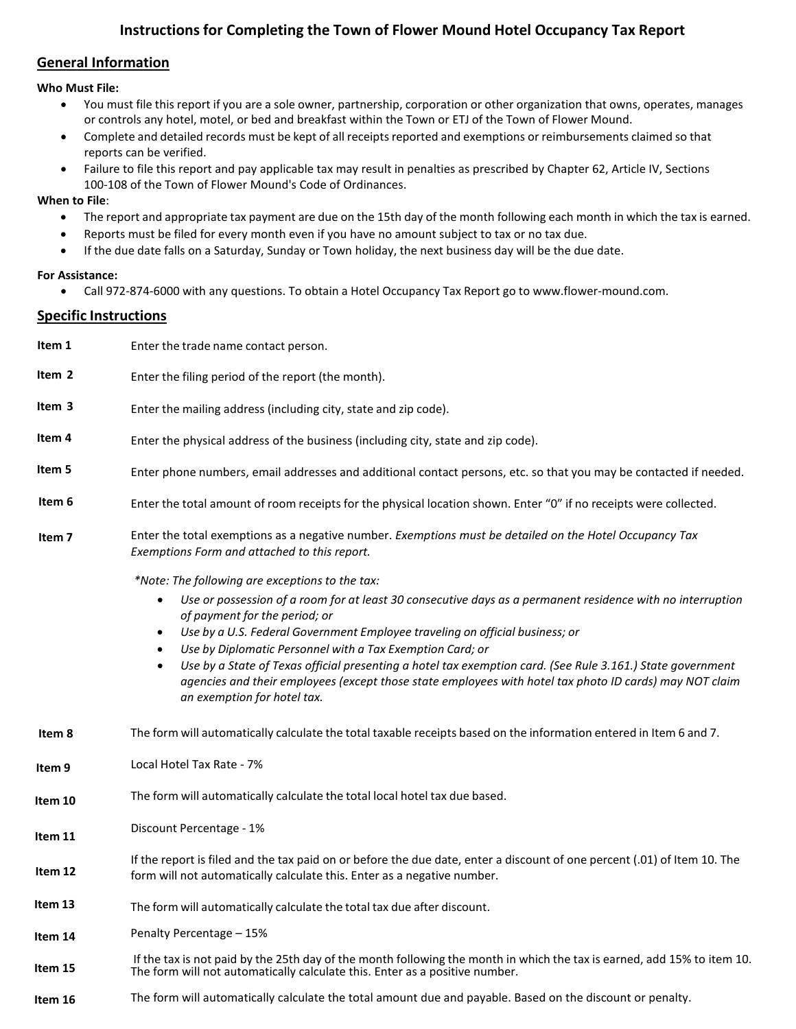# **Instructions for Completing the Town of Flower Mound Hotel Occupancy Tax Report**

## **General Information**

### **Who Must File:**

- You must file this report if you are a sole owner, partnership, corporation or other organization that owns, operates, manages or controls any hotel, motel, or bed and breakfast within the Town or ETJ of the Town of Flower Mound.
- Complete and detailed records must be kept of all receipts reported and exemptions or reimbursements claimed so that reports can be verified.
- Failure to file this report and pay applicable tax may result in penalties as prescribed by Chapter 62, Article IV, Sections 100-108 of the Town of Flower Mound's Code of Ordinances.

### **When to File**:

- The report and appropriate tax payment are due on the 15th day of the month following each month in which the tax is earned.
- Reports must be filed for every month even if you have no amount subject to tax or no tax due.
- If the due date falls on a Saturday, Sunday or Town holiday, the next business day will be the due date.

### **For Assistance:**

• Call 972-874-6000 with any questions. To obtain a Hotel Occupancy Tax Report go to [www.flower-mound.com.](http://www.flower-mound.com/)

## **Specific Instructions**

| Item 1            | Enter the trade name contact person.                                                                                                                                                                                                                                                                                                        |  |
|-------------------|---------------------------------------------------------------------------------------------------------------------------------------------------------------------------------------------------------------------------------------------------------------------------------------------------------------------------------------------|--|
| Item 2            | Enter the filing period of the report (the month).                                                                                                                                                                                                                                                                                          |  |
| Item 3            | Enter the mailing address (including city, state and zip code).                                                                                                                                                                                                                                                                             |  |
| Item 4            | Enter the physical address of the business (including city, state and zip code).                                                                                                                                                                                                                                                            |  |
| Item 5            | Enter phone numbers, email addresses and additional contact persons, etc. so that you may be contacted if needed.                                                                                                                                                                                                                           |  |
| Item 6            | Enter the total amount of room receipts for the physical location shown. Enter "0" if no receipts were collected.                                                                                                                                                                                                                           |  |
| Item <sub>7</sub> | Enter the total exemptions as a negative number. Exemptions must be detailed on the Hotel Occupancy Tax<br>Exemptions Form and attached to this report.                                                                                                                                                                                     |  |
|                   | *Note: The following are exceptions to the tax:                                                                                                                                                                                                                                                                                             |  |
|                   | Use or possession of a room for at least 30 consecutive days as a permanent residence with no interruption<br>$\bullet$<br>of payment for the period; or<br>Use by a U.S. Federal Government Employee traveling on official business; or<br>$\bullet$                                                                                       |  |
|                   | Use by Diplomatic Personnel with a Tax Exemption Card; or<br>$\bullet$<br>Use by a State of Texas official presenting a hotel tax exemption card. (See Rule 3.161.) State government<br>$\bullet$<br>agencies and their employees (except those state employees with hotel tax photo ID cards) may NOT claim<br>an exemption for hotel tax. |  |
| Item 8            | The form will automatically calculate the total taxable receipts based on the information entered in Item 6 and 7.                                                                                                                                                                                                                          |  |
| Item 9            | Local Hotel Tax Rate - 7%                                                                                                                                                                                                                                                                                                                   |  |
| Item 10           | The form will automatically calculate the total local hotel tax due based.                                                                                                                                                                                                                                                                  |  |
| Item 11           | Discount Percentage - 1%                                                                                                                                                                                                                                                                                                                    |  |
| Item 12           | If the report is filed and the tax paid on or before the due date, enter a discount of one percent (.01) of Item 10. The<br>form will not automatically calculate this. Enter as a negative number.                                                                                                                                         |  |
| Item 13           | The form will automatically calculate the total tax due after discount.                                                                                                                                                                                                                                                                     |  |
| Item 14           | Penalty Percentage – 15%                                                                                                                                                                                                                                                                                                                    |  |
| Item 15           | If the tax is not paid by the 25th day of the month following the month in which the tax is earned, add 15% to item 10.<br>The form will not automatically calculate this. Enter as a positive number.                                                                                                                                      |  |
| Item 16           | The form will automatically calculate the total amount due and payable. Based on the discount or penalty.                                                                                                                                                                                                                                   |  |